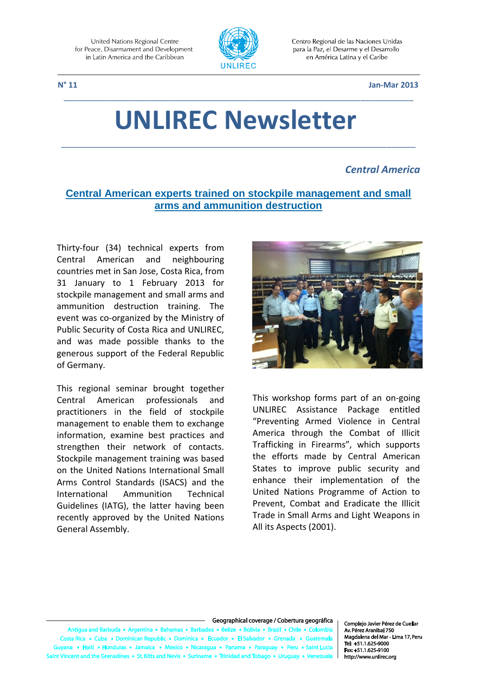

Centro Regional de las Naciones Unidas para la Paz, el Desarme y el Desarrollo en América Latina y el Caribe

 **N° 11 Jan-Mar 2013**

# **UNLIREC Newsletter**

\_\_\_\_\_\_\_\_\_\_\_\_\_\_\_\_\_\_\_\_\_\_\_\_\_\_\_\_\_\_\_\_\_\_\_\_\_\_\_\_\_\_\_\_\_\_\_\_\_\_\_\_\_\_\_\_\_\_\_\_\_\_\_\_\_\_\_\_\_\_\_\_\_\_

\_\_\_\_\_\_\_\_\_\_\_\_\_\_\_\_\_\_\_\_\_\_\_\_\_\_\_\_\_\_\_\_\_\_\_\_\_\_\_\_\_\_\_\_\_\_\_\_\_\_\_\_\_\_\_\_\_\_\_\_\_\_\_\_\_\_\_\_\_\_\_\_\_

#### *Central America*

# **Central American experts trained on stockpile management and small arms and ammunition destruction**

Thirty-four (34) technical experts from Central American and neighbouring countries met in San Jose, Costa Rica, from 31 January to 1 February 2013 for stockpile management and small arms and ammunition destruction training. The event was co-organized by the Ministry of Public Security of Costa Rica and UNLIREC, and was made possible thanks to the generous support of the Federal Republic of Germany.

This regional seminar brought together Central American professionals and practitioners in the field of stockpile management to enable them to exchange information, examine best practices and strengthen their network of contacts. Stockpile management training was based on the United Nations International Small Arms Control Standards (ISACS) and the International Ammunition Technical Guidelines (IATG), the latter having been recently approved by the United Nations General Assembly.



This workshop forms part of an on-going UNLIREC Assistance Package entitled "Preventing Armed Violence in Central America through the Combat of Illicit Trafficking in Firearms", which supports the efforts made by Central American States to improve public security and enhance their implementation of the United Nations Programme of Action to Prevent, Combat and Eradicate the Illicit Trade in Small Arms and Light Weapons in All its Aspects (2001).

#### Geographical coverage / Cobertura geográfica

uda • Arg e Bolivia e Brazil e Chile e e Colombia ua and Ba a Rica • Cuba • Dominican Rep **lic . Domin** ica • Ecu r e FIS a • Haiti • Honduras • Jamaica • Me kico • Nicaragua • Pan ama • Pai  $\bullet$  Peru  $\bullet$ nes • St. Kitts and Nevis • Suriname • Trinidad and To ent and the Grenadii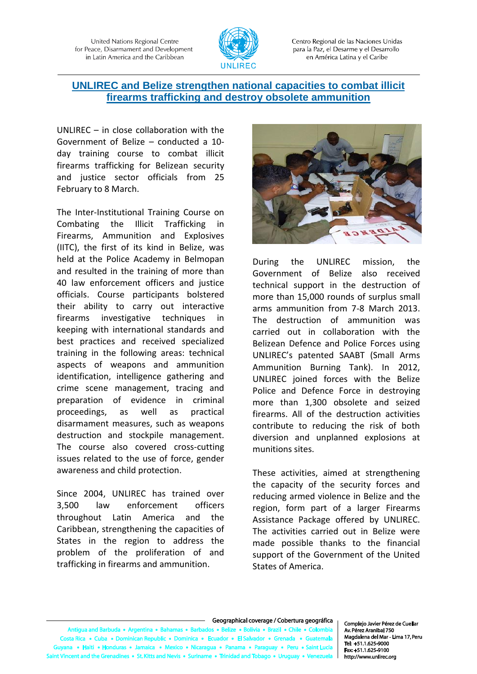

Centro Regional de las Naciones Unidas para la Paz, el Desarme y el Desarrollo en América Latina y el Caribe

# **UNLIREC and Belize strengthen national capacities to combat illicit firearms trafficking and destroy obsolete ammunition**

UNLIREC – in close collaboration with the Government of Belize – conducted a 10 day training course to combat illicit firearms trafficking for Belizean security and justice sector officials from 25 February to 8 March.

The Inter-Institutional Training Course on Combating the Illicit Trafficking in Firearms, Ammunition and Explosives (IITC), the first of its kind in Belize, was held at the Police Academy in Belmopan and resulted in the training of more than 40 law enforcement officers and justice officials. Course participants bolstered their ability to carry out interactive firearms investigative techniques in keeping with international standards and best practices and received specialized training in the following areas: technical aspects of weapons and ammunition identification, intelligence gathering and crime scene management, tracing and preparation of evidence in criminal proceedings, as well as practical disarmament measures, such as weapons destruction and stockpile management. The course also covered cross-cutting issues related to the use of force, gender awareness and child protection.

Since 2004, UNLIREC has trained over 3,500 law enforcement officers throughout Latin America and the Caribbean, strengthening the capacities of States in the region to address the problem of the proliferation of and trafficking in firearms and ammunition.



During the UNLIREC mission, the Government of Belize also received technical support in the destruction of more than 15,000 rounds of surplus small arms ammunition from 7-8 March 2013. The destruction of ammunition was carried out in collaboration with the Belizean Defence and Police Forces using UNLIREC's patented SAABT (Small Arms Ammunition Burning Tank). In 2012, UNLIREC joined forces with the Belize Police and Defence Force in destroying more than 1,300 obsolete and seized firearms. All of the destruction activities contribute to reducing the risk of both diversion and unplanned explosions at munitions sites.

These activities, aimed at strengthening the capacity of the security forces and reducing armed violence in Belize and the region, form part of a larger Firearms Assistance Package offered by UNLIREC. The activities carried out in Belize were made possible thanks to the financial support of the Government of the United States of America.

#### Geographical coverage / Cobertura geográfica

los • Beliz Antigua and Barbuda . Argentina . Bah as • Bart re • Bolivia • Brazil • Chile • Colombia Costa Rica • Cuba • Dominican Republic • Dominica • Ecu ador • Gr dor • El Salv a • Haiti • Honduras • Jamaica • Mexico • Nicaragua • Panama • Paragua **y** • Peru • Saint Lu ent and the Grenadines • St. Kitts and Nevis • Suriname • Trinidad and Tob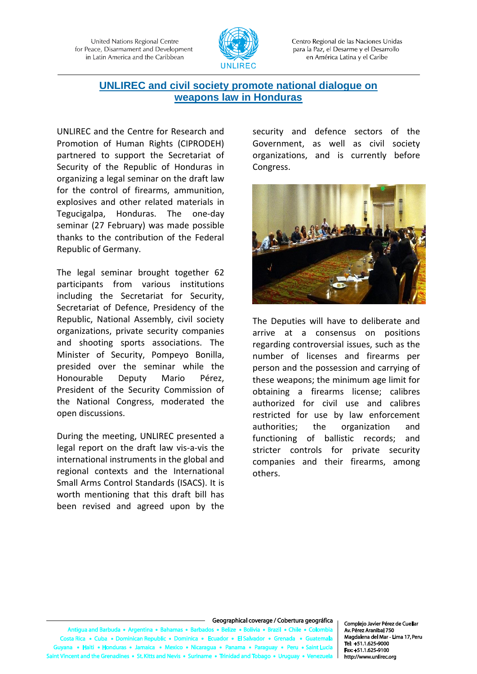

Centro Regional de las Naciones Unidas para la Paz, el Desarme y el Desarrollo en América Latina y el Caribe

# **UNLIREC and civil society promote national dialogue on weapons law in Honduras**

UNLIREC and the Centre for Research and Promotion of Human Rights (CIPRODEH) partnered to support the Secretariat of Security of the Republic of Honduras in organizing a legal seminar on the draft law for the control of firearms, ammunition, explosives and other related materials in Tegucigalpa, Honduras. The one-day seminar (27 February) was made possible thanks to the contribution of the Federal Republic of Germany.

The legal seminar brought together 62 participants from various institutions including the Secretariat for Security, Secretariat of Defence, Presidency of the Republic, National Assembly, civil society organizations, private security companies and shooting sports associations. The Minister of Security, Pompeyo Bonilla, presided over the seminar while the Honourable Deputy Mario Pérez, President of the Security Commission of the National Congress, moderated the open discussions.

During the meeting, UNLIREC presented a legal report on the draft law vis-a-vis the international instruments in the global and regional contexts and the International Small Arms Control Standards (ISACS). It is worth mentioning that this draft bill has been revised and agreed upon by the

security and defence sectors of the Government, as well as civil society organizations, and is currently before Congress.



The Deputies will have to deliberate and arrive at a consensus on positions regarding controversial issues, such as the number of licenses and firearms per person and the possession and carrying of these weapons; the minimum age limit for obtaining a firearms license; calibres authorized for civil use and calibres restricted for use by law enforcement authorities; the organization and functioning of ballistic records; and stricter controls for private security companies and their firearms, among others.

#### Geographical coverage / Cobertura geográfica

ua and Barbuda • Arge entina • R: e e Rolivia e Brazil e Chile e Colombia ta Rica · Cuba · Dominican Rep ublic . Dominica . Ecu r e FIS a • Haiti • Honduras • Jamaica • Mexico • Nicaragua • Pan a • Par ent and the Grenadines • St. Kitts and Nevis • Suriname • Trinidad and To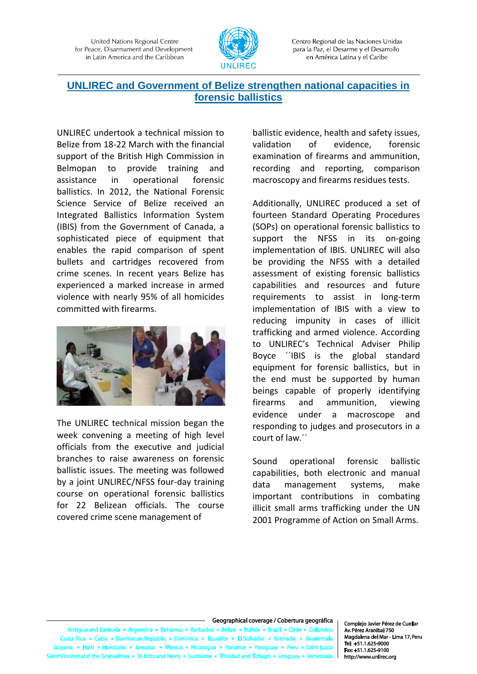

Centro Regional de las Naciones Unidas para la Paz, el Desarme y el Desarrollo en América Latina y el Caribe

# **UNLIREC and Government of Belize strengthen national capacities in forensic ballistics**

UNLIREC undertook a technical mission to Belize from 18-22 March with the financial support of the British High Commission in Belmopan to provide training and assistance in operational forensic ballistics. In 2012, the National Forensic Science Service of Belize received an Integrated Ballistics Information System (IBIS) from the Government of Canada, a sophisticated piece of equipment that enables the rapid comparison of spent bullets and cartridges recovered from crime scenes. In recent years Belize has experienced a marked increase in armed violence with nearly 95% of all homicides committed with firearms.



The UNLIREC technical mission began the week convening a meeting of high level officials from the executive and judicial branches to raise awareness on forensic ballistic issues. The meeting was followed by a joint UNLIREC/NFSS four-day training course on operational forensic ballistics for 22 Belizean officials. The course covered crime scene management of

ballistic evidence, health and safety issues, validation of evidence, forensic examination of firearms and ammunition, recording and reporting, comparison macroscopy and firearms residues tests.

Additionally, UNLIREC produced a set of fourteen Standard Operating Procedures (SOPs) on operational forensic ballistics to support the NFSS in its on-going implementation of IBIS. UNLIREC will also be providing the NFSS with a detailed assessment of existing forensic ballistics capabilities and resources and future requirements to assist in long-term implementation of IBIS with a view to reducing impunity in cases of illicit trafficking and armed violence. According to UNLIREC's Technical Adviser Philip Boyce ´´IBIS is the global standard equipment for forensic ballistics, but in the end must be supported by human beings capable of properly identifying firearms and ammunition, viewing evidence under a macroscope and responding to judges and prosecutors in a court of law.´´

Sound operational forensic ballistic capabilities, both electronic and manual data management systems, make important contributions in combating illicit small arms trafficking under the UN 2001 Programme of Action on Small Arms.

#### Geographical coverage / Cobertura geográfica

Antigua and Barbuda . Argentina . Bah is a Ra  $\sim$   $\sim$  R e e Rolivia e Brazil e Chile e Colombia Costa Rica . Cuba . Dominican Rep ublic . Dominica . Ecu dor • El S a • Haiti • Honduras • Jamaica • Mexico • Nicaragua • Panama • Para • Peru • Saint Lu ent and the Grenadines • St. Kitts and Nevis • Suriname • Trinidad and Tol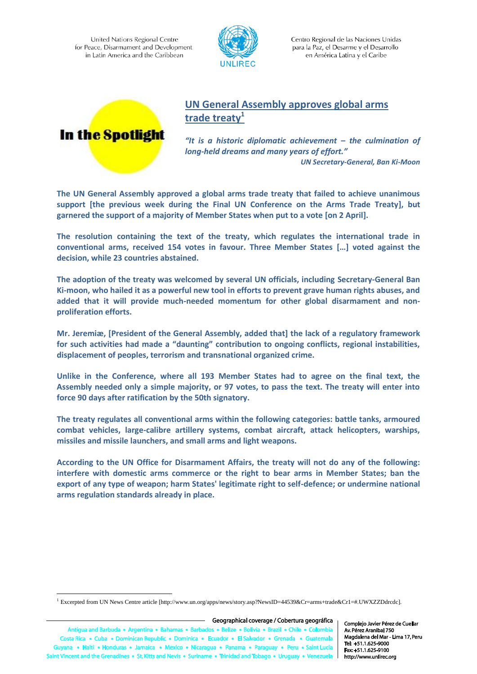

Centro Regional de las Naciones Unidas para la Paz, el Desarme y el Desarrollo en América Latina y el Caribe



# **UN General Assembly approves global arms trade treaty<sup>1</sup>**

*"It is a historic diplomatic achievement – the culmination of long-held dreams and many years of effort." UN Secretary-General, Ban Ki-Moon*

**The UN General Assembly approved a global arms trade treaty that failed to achieve unanimous support [the previous week during the Final UN Conference on the Arms Trade Treaty], but garnered the support of a majority of Member States when put to a vote [on 2 April].**

**The resolution containing the text of the treaty, which regulates the international trade in conventional arms, received 154 votes in favour. Three Member States […] voted against the decision, while 23 countries abstained.** 

**The adoption of the treaty was welcomed by several UN officials, including [Secretary-General](http://www.un.org/sg/) Ban Ki-moon, who hailed it as a powerful new tool in efforts to prevent grave human rights abuses, and added that it will provide much-needed momentum for other global disarmament and nonproliferation efforts.** 

**Mr. Jeremiæ, [President of the General Assembly, added that] the lack of a regulatory framework for such activities had made a "daunting" contribution to ongoing conflicts, regional instabilities, displacement of peoples, terrorism and transnational organized crime.** 

**Unlike in the Conference, where all 193 Member States had to agree on the final text, the Assembly needed only a simple majority, or 97 votes, to pass the text. The treaty will enter into force 90 days after ratification by the 50th signatory.**

**The treaty regulates all conventional arms within the following categories: battle tanks, armoured combat vehicles, large-calibre artillery systems, combat aircraft, attack helicopters, warships, missiles and missile launchers, and small arms and light weapons.**

**According to the UN Office for Disarmament Affairs, the treaty will not do any of the following: interfere with domestic arms commerce or the right to bear arms in Member States; ban the export of any type of weapon; harm States' legitimate right to self-defence; or undermine national arms regulation standards already in place.**

- Geographical coverage / Cobertura geográfica

 $\overline{a}$ 

<sup>1</sup> Excerpted from UN News Centre article [http://www.un.org/apps/news/story.asp?NewsID=44539&Cr=arms+trade&Cr1=#.UWXZZDdrcdc].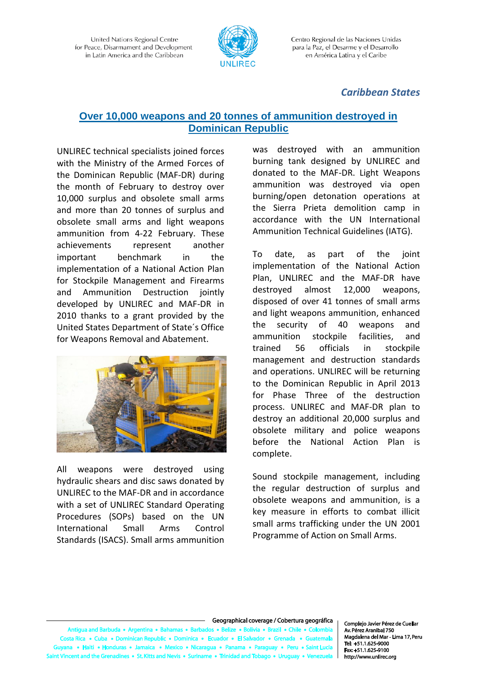

Centro Regional de las Naciones Unidas para la Paz, el Desarme y el Desarrollo en América Latina y el Caribe

# *Caribbean States*

#### **Over 10,000 weapons and 20 tonnes of ammunition destroyed in Dominican Republic**

UNLIREC technical specialists joined forces with the Ministry of the Armed Forces of the Dominican Republic (MAF-DR) during the month of February to destroy over 10,000 surplus and obsolete small arms and more than 20 tonnes of surplus and obsolete small arms and light weapons ammunition from 4-22 February. These achievements represent another important benchmark in the implementation of a National Action Plan for Stockpile Management and Firearms and Ammunition Destruction jointly developed by UNLIREC and MAF-DR in 2010 thanks to a grant provided by the United States Department of State´s Office for Weapons Removal and Abatement.



All weapons were destroyed using hydraulic shears and disc saws donated by UNLIREC to the MAF-DR and in accordance with a set of UNLIREC Standard Operating Procedures (SOPs) based on the UN International Small Arms Control Standards (ISACS). Small arms ammunition was destroyed with an ammunition burning tank designed by UNLIREC and donated to the MAF-DR. Light Weapons ammunition was destroyed via open burning/open detonation operations at the Sierra Prieta demolition camp in accordance with the UN International Ammunition Technical Guidelines (IATG).

To date, as part of the joint implementation of the National Action Plan, UNLIREC and the MAF-DR have destroyed almost 12,000 weapons, disposed of over 41 tonnes of small arms and light weapons ammunition, enhanced the security of 40 weapons and ammunition stockpile facilities, and trained 56 officials in stockpile management and destruction standards and operations. UNLIREC will be returning to the Dominican Republic in April 2013 for Phase Three of the destruction process. UNLIREC and MAF-DR plan to destroy an additional 20,000 surplus and obsolete military and police weapons before the National Action Plan is complete.

Sound stockpile management, including the regular destruction of surplus and obsolete weapons and ammunition, is a key measure in efforts to combat illicit small arms trafficking under the UN 2001 Programme of Action on Small Arms.

#### Geographical coverage / Cobertura geográfica

tigua and Barbuda • Argentina • Bah  $\sim$   $\sim$  R e e Rolivia e Brazil e Chile e Colombia s a Ri ta Rica · Cuba · Dominican Rep ublic . Dominica . Ecu  $or - El S$ a • Haiti • Honduras • Jamaica • Mexico • Nicaragua • Panama • Para • Peru • Saint Lu ent and the Grenadines • St. Kitts and Nevis • Suriname • Trinidad and Tol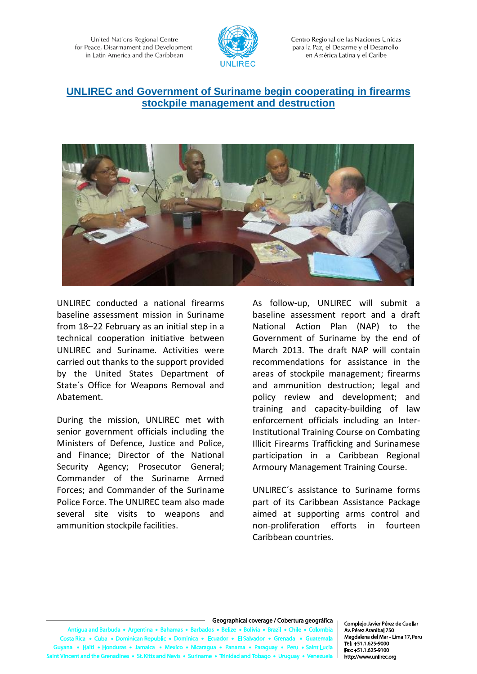

Centro Regional de las Naciones Unidas para la Paz, el Desarme y el Desarrollo en América Latina y el Caribe

# **UNLIREC and Government of Suriname begin cooperating in firearms stockpile management and destruction**



UNLIREC conducted a national firearms baseline assessment mission in Suriname from 18–22 February as an initial step in a technical cooperation initiative between UNLIREC and Suriname. Activities were carried out thanks to the support provided by the United States Department of State´s Office for Weapons Removal and Abatement.

During the mission, UNLIREC met with senior government officials including the Ministers of Defence, Justice and Police, and Finance; Director of the National Security Agency; Prosecutor General; Commander of the Suriname Armed Forces; and Commander of the Suriname Police Force. The UNLIREC team also made several site visits to weapons and ammunition stockpile facilities.

As follow-up, UNLIREC will submit a baseline assessment report and a draft National Action Plan (NAP) to the Government of Suriname by the end of March 2013. The draft NAP will contain recommendations for assistance in the areas of stockpile management; firearms and ammunition destruction; legal and policy review and development; and training and capacity-building of law enforcement officials including an Inter-Institutional Training Course on Combating Illicit Firearms Trafficking and Surinamese participation in a Caribbean Regional Armoury Management Training Course.

UNLIREC´s assistance to Suriname forms part of its Caribbean Assistance Package aimed at supporting arms control and non-proliferation efforts in fourteen Caribbean countries.

#### Geographical coverage / Cobertura geográfica

tigua and Barbuda • Argentina • Bah is a Ra is a Rali: e e Rolivia e Brazil e Chile e Colombia ta Rica • Cuba • Dominican Republic • Dominica • Ecu  $r \bullet \textsf{FIS}$ a • Haiti • Honduras • Jamaica • Mexico • Nicaragua • Panama • Pan • Peru • Saint Lu ent and the Grenadines • St. Kitts and Nevis • Suriname • Trinidad and Tol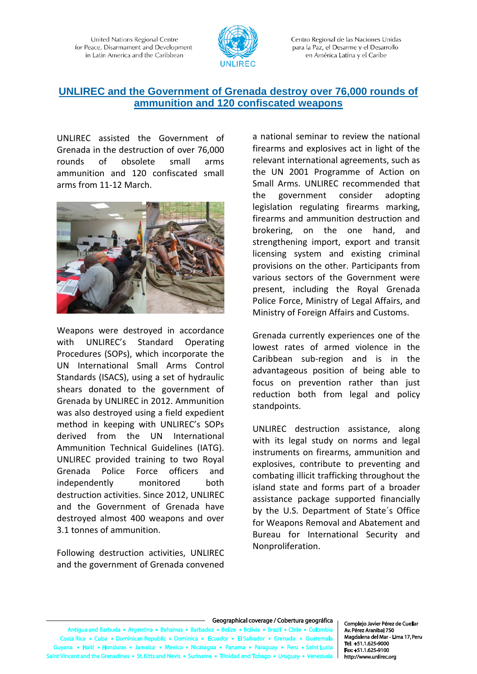

Centro Regional de las Naciones Unidas para la Paz, el Desarme y el Desarrollo en América Latina y el Caribe

# **UNLIREC and the Government of Grenada destroy over 76,000 rounds of ammunition and 120 confiscated weapons**

UNLIREC assisted the Government of Grenada in the destruction of over 76,000 rounds of obsolete small arms ammunition and 120 confiscated small arms from 11-12 March.



Weapons were destroyed in accordance with UNLIREC's Standard Operating Procedures (SOPs), which incorporate the UN International Small Arms Control Standards (ISACS), using a set of hydraulic shears donated to the government of Grenada by UNLIREC in 2012. Ammunition was also destroyed using a field expedient method in keeping with UNLIREC's SOPs derived from the UN International Ammunition Technical Guidelines (IATG). UNLIREC provided training to two Royal Grenada Police Force officers and independently monitored both destruction activities. Since 2012, UNLIREC and the Government of Grenada have destroyed almost 400 weapons and over 3.1 tonnes of ammunition.

Following destruction activities, UNLIREC and the government of Grenada convened a national seminar to review the national firearms and explosives act in light of the relevant international agreements, such as the UN 2001 Programme of Action on Small Arms. UNLIREC recommended that the government consider adopting legislation regulating firearms marking, firearms and ammunition destruction and brokering, on the one hand, and strengthening import, export and transit licensing system and existing criminal provisions on the other. Participants from various sectors of the Government were present, including the Royal Grenada Police Force, Ministry of Legal Affairs, and Ministry of Foreign Affairs and Customs.

Grenada currently experiences one of the lowest rates of armed violence in the Caribbean sub-region and is in the advantageous position of being able to focus on prevention rather than just reduction both from legal and policy standpoints.

UNLIREC destruction assistance, along with its legal study on norms and legal instruments on firearms, ammunition and explosives, contribute to preventing and combating illicit trafficking throughout the island state and forms part of a broader assistance package supported financially by the U.S. Department of State´s Office for Weapons Removal and Abatement and Bureau for International Security and Nonproliferation.

#### Geographical coverage / Cobertura geográfica

Antigua and Barbuda . Argentina . Bah as • Bai is a Rali: e e Rolivia e Brazil e Chile e Colombia Costa Rica • Cuba • Dominican Republic • Dominica • Ecu dor • Gr dor . El Salv a • Haiti • Honduras • Jamaica • Mexico • Nicaragua • Panama • Parac y • Peru • Saint Lu ent and the Grenadines • St. Kitts and Nevis • Suriname • Trinidad and Tob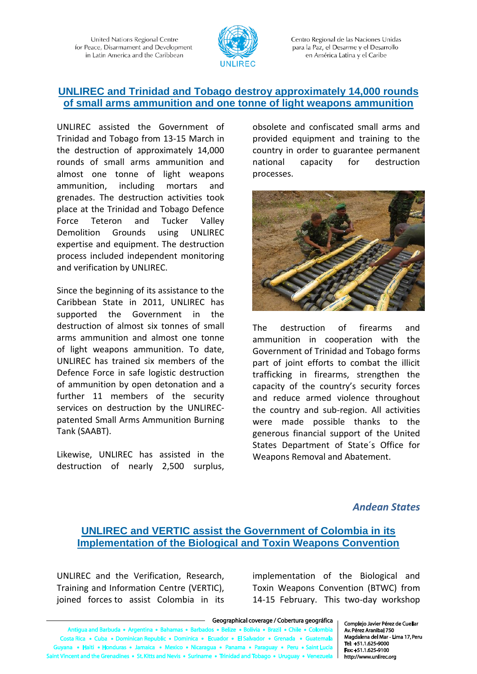

Centro Regional de las Naciones Unidas para la Paz, el Desarme y el Desarrollo en América Latina y el Caribe

#### **UNLIREC and Trinidad and Tobago destroy approximately 14,000 rounds of small arms ammunition and one tonne of light weapons ammunition**

UNLIREC assisted the Government of Trinidad and Tobago from 13-15 March in the destruction of approximately 14,000 rounds of small arms ammunition and almost one tonne of light weapons ammunition, including mortars and grenades. The destruction activities took place at the Trinidad and Tobago Defence Force Teteron and Tucker Valley Demolition Grounds using UNLIREC expertise and equipment. The destruction process included independent monitoring and verification by UNLIREC.

Since the beginning of its assistance to the Caribbean State in 2011, UNLIREC has supported the Government in the destruction of almost six tonnes of small arms ammunition and almost one tonne of light weapons ammunition. To date, UNLIREC has trained six members of the Defence Force in safe logistic destruction of ammunition by open detonation and a further 11 members of the security services on destruction by the UNLIRECpatented Small Arms Ammunition Burning Tank (SAABT).

Likewise, UNLIREC has assisted in the destruction of nearly 2,500 surplus, obsolete and confiscated small arms and provided equipment and training to the country in order to guarantee permanent national capacity for destruction processes.



The destruction of firearms and ammunition in cooperation with the Government of Trinidad and Tobago forms part of joint efforts to combat the illicit trafficking in firearms, strengthen the capacity of the country's security forces and reduce armed violence throughout the country and sub-region. All activities were made possible thanks to the generous financial support of the United States Department of State´s Office for Weapons Removal and Abatement.

#### *Andean States*

# **UNLIREC and VERTIC assist the Government of Colombia in its Implementation of the Biological and Toxin Weapons Convention**

UNLIREC and the Verification, Research, Training and Information Centre (VERTIC), joined forces to assist Colombia in its

implementation of the Biological and Toxin Weapons Convention (BTWC) from 14-15 February. This two-day workshop

- Geographical coverage / Cobertura geográfica

Antigua and Barbuda . Argentina . Bahamas . Barba dos • Belize • Bolivia • Brazil • Chile • Colombia Costa Rica • Cuba • Dominican Republic • Dominica • Ecuador • El Salvador • Gre da • Gu na • Haiti • Honduras • Jamaica • Mexico • Nicaragua • Panama • Paraguay • Peru • Saint Luci t Vincent and the Grenadines • St. Kitts and Nevis • Suriname • Trinidad and Tobago • Uruguay •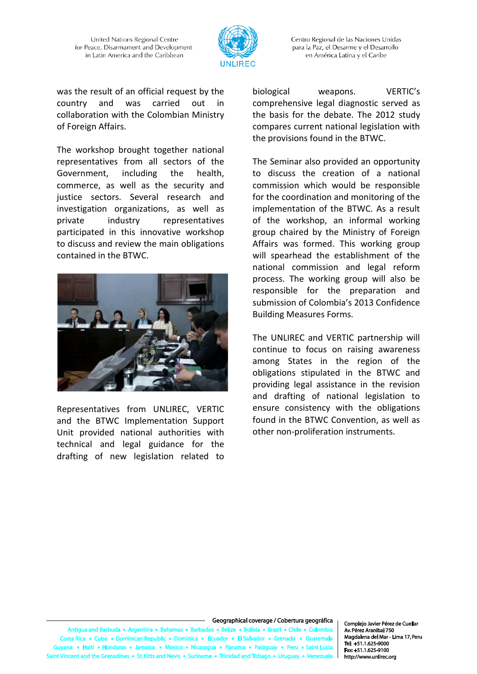

Centro Regional de las Naciones Unidas para la Paz, el Desarme y el Desarrollo en América Latina y el Caribe

was the result of an official request by the country and was carried out in collaboration with the Colombian Ministry of Foreign Affairs.

The workshop brought together national representatives from all sectors of the Government, including the health, commerce, as well as the security and justice sectors. Several research and investigation organizations, as well as private industry representatives participated in this innovative workshop to discuss and review the main obligations contained in the BTWC.



Representatives from UNLIREC, VERTIC and the BTWC Implementation Support Unit provided national authorities with technical and legal guidance for the drafting of new legislation related to biological weapons. VERTIC's comprehensive legal diagnostic served as the basis for the debate. The 2012 study compares current national legislation with the provisions found in the BTWC.

The Seminar also provided an opportunity to discuss the creation of a national commission which would be responsible for the coordination and monitoring of the implementation of the BTWC. As a result of the workshop, an informal working group chaired by the Ministry of Foreign Affairs was formed. This working group will spearhead the establishment of the national commission and legal reform process. The working group will also be responsible for the preparation and submission of Colombia's 2013 Confidence Building Measures Forms.

The UNLIREC and VERTIC partnership will continue to focus on raising awareness among States in the region of the obligations stipulated in the BTWC and providing legal assistance in the revision and drafting of national legislation to ensure consistency with the obligations found in the BTWC Convention, as well as other non-proliferation instruments.

#### Geographical coverage / Cobertura geográfica

tigua and Barbuda • Argentina • Bah is a Ro s a R e e Rolivia e Brazil e Chile e Colombia ta Rica · Cuba · Dominican Rep ublic . Dominica . Ecu  $r \bullet \textsf{FIS}$ a • Haiti • Honduras • Jamaica • Mexico • Nicaragua • Pana ama • Para • Peru • Sa ent and the Grenadines • St. Kitts and Nevis • Suriname • Trinidad and To